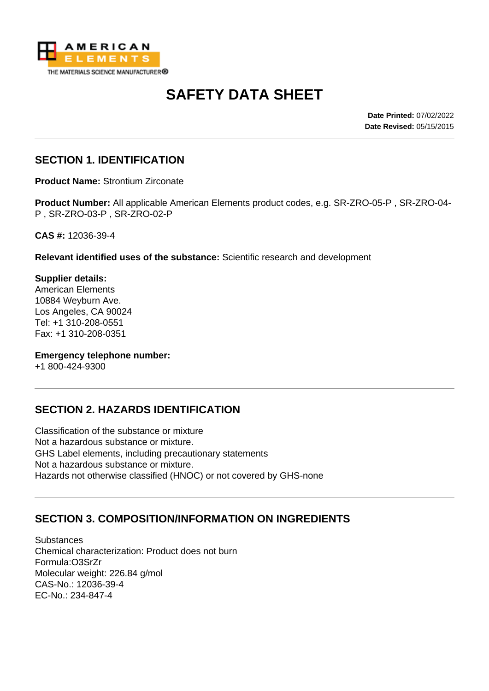

# **SAFETY DATA SHEET**

**Date Printed:** 07/02/2022 **Date Revised:** 05/15/2015

### **SECTION 1. IDENTIFICATION**

**Product Name:** Strontium Zirconate

**Product Number:** All applicable American Elements product codes, e.g. SR-ZRO-05-P , SR-ZRO-04- P , SR-ZRO-03-P , SR-ZRO-02-P

**CAS #:** 12036-39-4

**Relevant identified uses of the substance:** Scientific research and development

**Supplier details:** American Elements 10884 Weyburn Ave. Los Angeles, CA 90024 Tel: +1 310-208-0551 Fax: +1 310-208-0351

**Emergency telephone number:**

+1 800-424-9300

#### **SECTION 2. HAZARDS IDENTIFICATION**

Classification of the substance or mixture Not a hazardous substance or mixture. GHS Label elements, including precautionary statements Not a hazardous substance or mixture. Hazards not otherwise classified (HNOC) or not covered by GHS-none

#### **SECTION 3. COMPOSITION/INFORMATION ON INGREDIENTS**

**Substances** Chemical characterization: Product does not burn Formula:O3SrZr Molecular weight: 226.84 g/mol CAS-No.: 12036-39-4 EC-No.: 234-847-4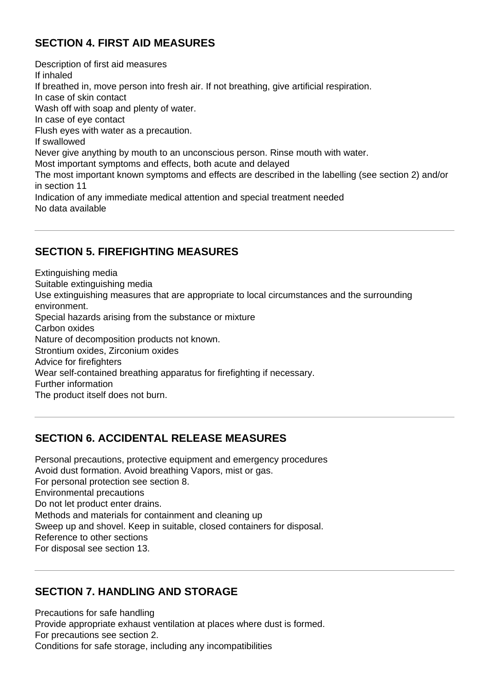### **SECTION 4. FIRST AID MEASURES**

Description of first aid measures If inhaled If breathed in, move person into fresh air. If not breathing, give artificial respiration. In case of skin contact Wash off with soap and plenty of water. In case of eye contact Flush eyes with water as a precaution. If swallowed Never give anything by mouth to an unconscious person. Rinse mouth with water. Most important symptoms and effects, both acute and delayed The most important known symptoms and effects are described in the labelling (see section 2) and/or in section 11 Indication of any immediate medical attention and special treatment needed No data available

### **SECTION 5. FIREFIGHTING MEASURES**

Extinguishing media Suitable extinguishing media Use extinguishing measures that are appropriate to local circumstances and the surrounding environment. Special hazards arising from the substance or mixture Carbon oxides Nature of decomposition products not known. Strontium oxides, Zirconium oxides Advice for firefighters Wear self-contained breathing apparatus for firefighting if necessary. Further information The product itself does not burn.

#### **SECTION 6. ACCIDENTAL RELEASE MEASURES**

Personal precautions, protective equipment and emergency procedures Avoid dust formation. Avoid breathing Vapors, mist or gas. For personal protection see section 8. Environmental precautions Do not let product enter drains. Methods and materials for containment and cleaning up Sweep up and shovel. Keep in suitable, closed containers for disposal. Reference to other sections For disposal see section 13.

### **SECTION 7. HANDLING AND STORAGE**

Precautions for safe handling Provide appropriate exhaust ventilation at places where dust is formed. For precautions see section 2. Conditions for safe storage, including any incompatibilities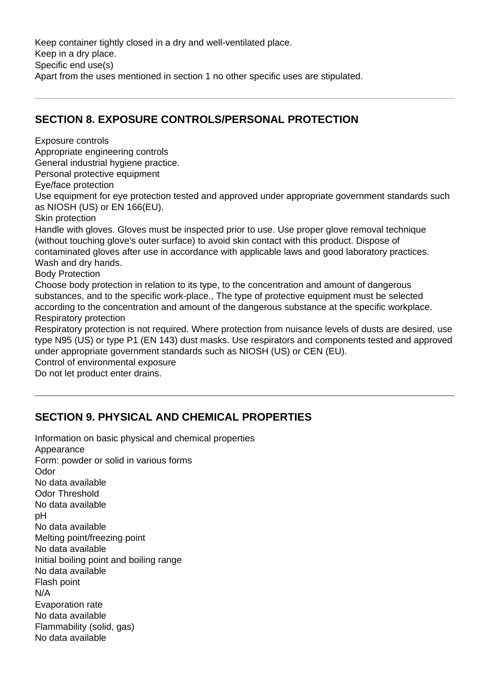Keep container tightly closed in a dry and well-ventilated place. Keep in a dry place. Specific end use(s) Apart from the uses mentioned in section 1 no other specific uses are stipulated.

### **SECTION 8. EXPOSURE CONTROLS/PERSONAL PROTECTION**

Exposure controls Appropriate engineering controls General industrial hygiene practice. Personal protective equipment Eye/face protection Use equipment for eye protection tested and approved under appropriate government standards such as NIOSH (US) or EN 166(EU). Skin protection Handle with gloves. Gloves must be inspected prior to use. Use proper glove removal technique (without touching glove's outer surface) to avoid skin contact with this product. Dispose of contaminated gloves after use in accordance with applicable laws and good laboratory practices. Wash and dry hands. Body Protection Choose body protection in relation to its type, to the concentration and amount of dangerous substances, and to the specific work-place., The type of protective equipment must be selected according to the concentration and amount of the dangerous substance at the specific workplace. Respiratory protection Respiratory protection is not required. Where protection from nuisance levels of dusts are desired, use type N95 (US) or type P1 (EN 143) dust masks. Use respirators and components tested and approved under appropriate government standards such as NIOSH (US) or CEN (EU). Control of environmental exposure Do not let product enter drains.

## **SECTION 9. PHYSICAL AND CHEMICAL PROPERTIES**

Information on basic physical and chemical properties **Appearance** Form: powder or solid in various forms Odor No data available Odor Threshold No data available pH No data available Melting point/freezing point No data available Initial boiling point and boiling range No data available Flash point N/A Evaporation rate No data available Flammability (solid, gas) No data available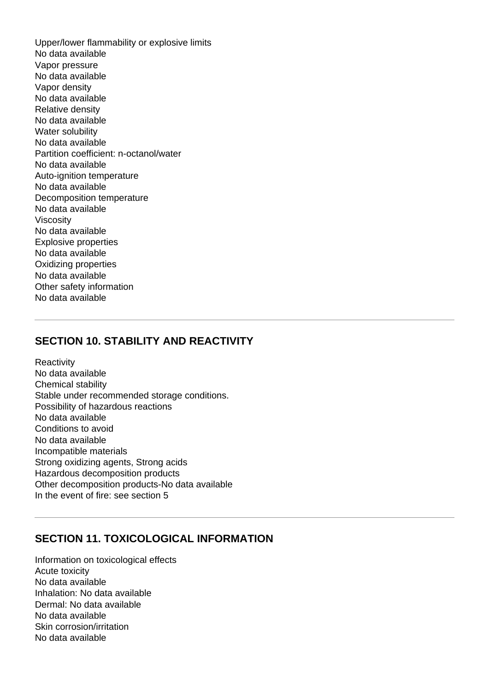Upper/lower flammability or explosive limits No data available Vapor pressure No data available Vapor density No data available Relative density No data available Water solubility No data available Partition coefficient: n-octanol/water No data available Auto-ignition temperature No data available Decomposition temperature No data available Viscosity No data available Explosive properties No data available Oxidizing properties No data available Other safety information No data available

### **SECTION 10. STABILITY AND REACTIVITY**

**Reactivity** No data available Chemical stability Stable under recommended storage conditions. Possibility of hazardous reactions No data available Conditions to avoid No data available Incompatible materials Strong oxidizing agents, Strong acids Hazardous decomposition products Other decomposition products-No data available In the event of fire: see section 5

#### **SECTION 11. TOXICOLOGICAL INFORMATION**

Information on toxicological effects Acute toxicity No data available Inhalation: No data available Dermal: No data available No data available Skin corrosion/irritation No data available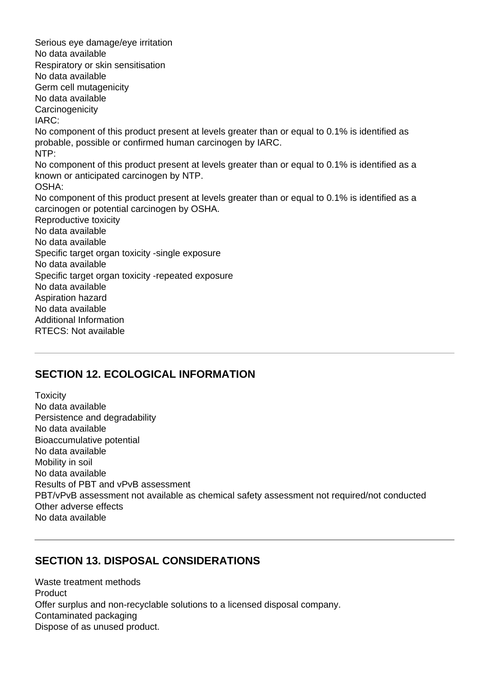Serious eye damage/eye irritation No data available Respiratory or skin sensitisation No data available Germ cell mutagenicity No data available **Carcinogenicity** IARC: No component of this product present at levels greater than or equal to 0.1% is identified as probable, possible or confirmed human carcinogen by IARC. NTP: No component of this product present at levels greater than or equal to 0.1% is identified as a known or anticipated carcinogen by NTP. OSHA: No component of this product present at levels greater than or equal to 0.1% is identified as a carcinogen or potential carcinogen by OSHA. Reproductive toxicity No data available No data available Specific target organ toxicity -single exposure No data available Specific target organ toxicity -repeated exposure No data available Aspiration hazard No data available Additional Information RTECS: Not available

### **SECTION 12. ECOLOGICAL INFORMATION**

**Toxicity** No data available Persistence and degradability No data available Bioaccumulative potential No data available Mobility in soil No data available Results of PBT and vPvB assessment PBT/vPvB assessment not available as chemical safety assessment not required/not conducted Other adverse effects No data available

### **SECTION 13. DISPOSAL CONSIDERATIONS**

Waste treatment methods Product Offer surplus and non-recyclable solutions to a licensed disposal company. Contaminated packaging Dispose of as unused product.